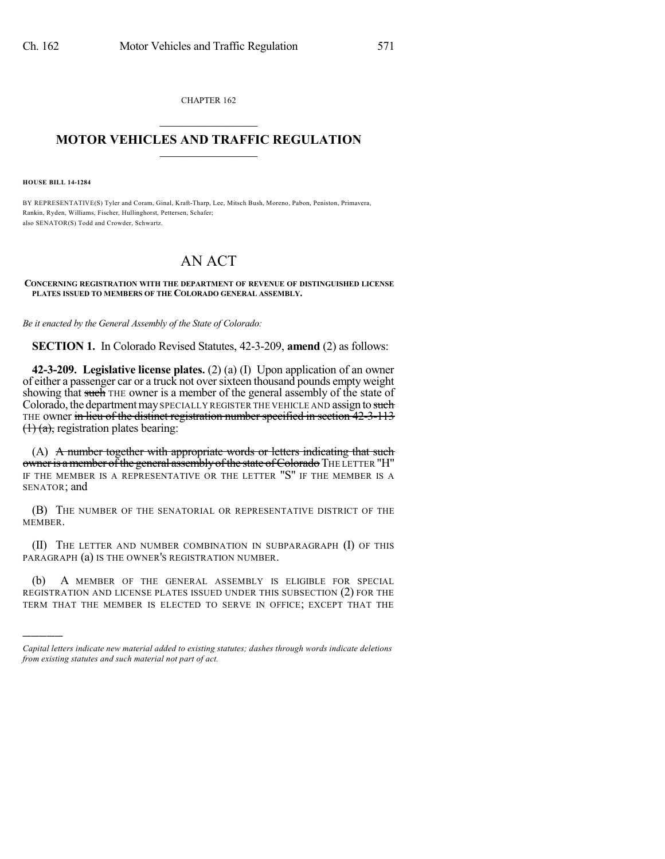CHAPTER 162  $\mathcal{L}_\text{max}$  . The set of the set of the set of the set of the set of the set of the set of the set of the set of the set of the set of the set of the set of the set of the set of the set of the set of the set of the set

## **MOTOR VEHICLES AND TRAFFIC REGULATION**  $\frac{1}{2}$  ,  $\frac{1}{2}$  ,  $\frac{1}{2}$  ,  $\frac{1}{2}$  ,  $\frac{1}{2}$  ,  $\frac{1}{2}$  ,  $\frac{1}{2}$

**HOUSE BILL 14-1284**

)))))

BY REPRESENTATIVE(S) Tyler and Coram, Ginal, Kraft-Tharp, Lee, Mitsch Bush, Moreno, Pabon, Peniston, Primavera, Rankin, Ryden, Williams, Fischer, Hullinghorst, Pettersen, Schafer; also SENATOR(S) Todd and Crowder, Schwartz.

## AN ACT

## **CONCERNING REGISTRATION WITH THE DEPARTMENT OF REVENUE OF DISTINGUISHED LICENSE PLATES ISSUED TO MEMBERS OF THE COLORADO GENERAL ASSEMBLY.**

*Be it enacted by the General Assembly of the State of Colorado:*

**SECTION 1.** In Colorado Revised Statutes, 42-3-209, **amend** (2) as follows:

**42-3-209. Legislative license plates.** (2) (a) (I) Upon application of an owner of either a passenger car or a truck not oversixteen thousand pounds empty weight showing that such THE owner is a member of the general assembly of the state of Colorado, the department may SPECIALLY REGISTER THE VEHICLE AND assign to such THE owner in lieu of the distinct registration number specified in section 42-3-113  $(1)$  (a), registration plates bearing:

(A) A number together with appropriate words or letters indicating that such owner is a member of the general assembly of the state of Colorado THE LETTER "H" IF THE MEMBER IS A REPRESENTATIVE OR THE LETTER "S" IF THE MEMBER IS A SENATOR; and

(B) THE NUMBER OF THE SENATORIAL OR REPRESENTATIVE DISTRICT OF THE MEMBER.

(II) THE LETTER AND NUMBER COMBINATION IN SUBPARAGRAPH (I) OF THIS PARAGRAPH (a) IS THE OWNER'S REGISTRATION NUMBER.

(b) A MEMBER OF THE GENERAL ASSEMBLY IS ELIGIBLE FOR SPECIAL REGISTRATION AND LICENSE PLATES ISSUED UNDER THIS SUBSECTION (2) FOR THE TERM THAT THE MEMBER IS ELECTED TO SERVE IN OFFICE; EXCEPT THAT THE

*Capital letters indicate new material added to existing statutes; dashes through words indicate deletions from existing statutes and such material not part of act.*